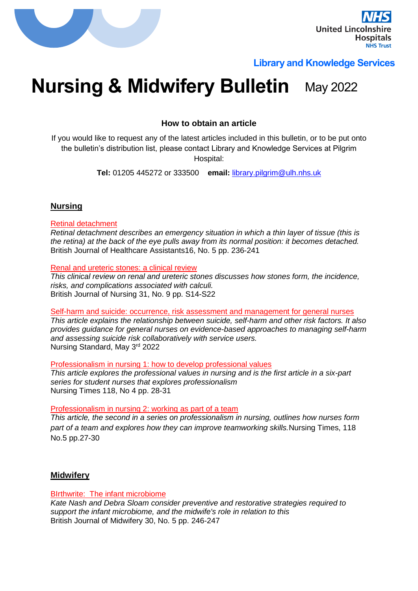

# **Library and Knowledge Services**

# **Nursing & Midwifery Bulletin May 2022**

**How to obtain an article**

If you would like to request any of the latest articles included in this bulletin, or to be put onto the bulletin's distribution list, please contact Library and Knowledge Services at Pilgrim Hospital:

**Tel:** 01205 445272 or 333500 **email:** [library.pilgrim@ulh.nhs.uk](mailto:library.pilgrim@ulh.nhs.uk)

# **Nursing**

#### Retinal detachment

*Retinal detachment describes an emergency situation in which a thin layer of tissue (this is the retina) at the back of the eye pulls away from its normal position: it becomes detached.* British Journal of Healthcare Assistants16, No. 5 pp. 236-241

#### Renal and ureteric stones: a clinical review

*This clinical review on renal and ureteric stones discusses how stones form, the incidence, risks, and complications associated with calculi.* British Journal of Nursing 31, No. 9 pp. S14-S22

# Self-harm and suicide: occurrence, risk assessment and management for general nurses

*This article explains the relationship between suicide, self-harm and other risk factors. It also provides guidance for general nurses on evidence-based approaches to managing self-harm and assessing suicide risk collaboratively with service users.* Nursing Standard, May 3rd 2022

Professionalism in nursing 1: how to develop professional values

*This article explores the professional values in nursing and is the first article in a six-part series for student nurses that explores professionalism* Nursing Times 118, No 4 pp. 28-31

Professionalism in nursing 2: working as part of a team

*This article, the second in a series on professionalism in nursing, outlines how nurses form part of a team and explores how they can improve teamworking skills.*Nursing Times, 118 No.5 pp.27-30

# **Midwifery**

# BIrthwrite: The infant microbiome

*Kate Nash and Debra Sloam consider preventive and restorative strategies required to support the infant microbiome, and the midwife's role in relation to this* British Journal of Midwifery 30, No. 5 pp. 246-247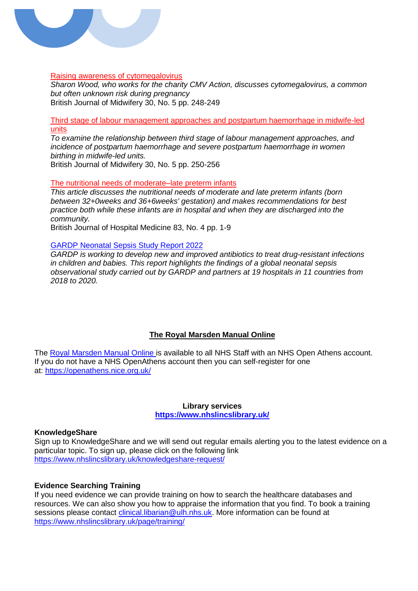

# Raising awareness of cytomegalovirus

*Sharon Wood, who works for the charity CMV Action, discusses cytomegalovirus, a common but often unknown risk during pregnancy* British Journal of Midwifery 30, No. 5 pp. 248-249

Third stage of labour management approaches and postpartum haemorrhage in midwife-led units

*To examine the relationship between third stage of labour management approaches, and incidence of postpartum haemorrhage and severe postpartum haemorrhage in women birthing in midwife-led units.*

British Journal of Midwifery 30, No. 5 pp. 250-256

The nutritional needs of moderate–late preterm infants

*This article discusses the nutritional needs of moderate and late preterm infants (born between 32+0weeks and 36+6weeks' gestation) and makes recommendations for best practice both while these infants are in hospital and when they are discharged into the community.*

British Journal of Hospital Medicine 83, No. 4 pp. 1-9

#### [GARDP Neonatal Sepsis Study Report 2022](https://gardp.org/news-resources/gardp-neonatal-sepsis-study-report-2022/)

*GARDP is working to develop new and improved antibiotics to treat drug-resistant infections in children and babies. This report highlights the findings of a global neonatal sepsis observational study carried out by GARDP and partners at 19 hospitals in 11 countries from 2018 to 2020.*

# **The Royal Marsden Manual Online**

The [Royal Marsden Manual Online](https://www.nhslincslibrary.uk/ebooks/) is available to all NHS Staff with an NHS Open Athens account. If you do not have a NHS OpenAthens account then you can self-register for one at: <https://openathens.nice.org.uk/>

#### **Library services <https://www.nhslincslibrary.uk/>**

#### **KnowledgeShare**

Sign up to KnowledgeShare and we will send out regular emails alerting you to the latest evidence on a particular topic. To sign up, please click on the following link <https://www.nhslincslibrary.uk/knowledgeshare-request/>

#### **Evidence Searching Training**

If you need evidence we can provide training on how to search the healthcare databases and resources. We can also show you how to appraise the information that you find. To book a training sessions please contact [clinical.libarian@ulh.nhs.uk.](mailto:clinical.libarian@ulh.nhs.uk) More information can be found at <https://www.nhslincslibrary.uk/page/training/>